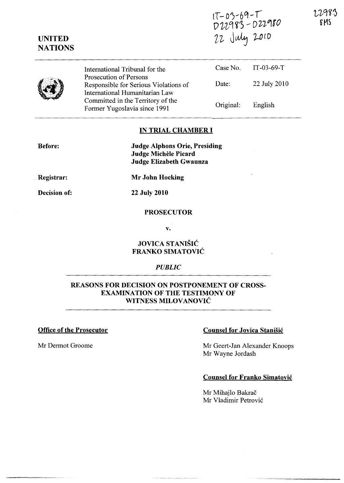$1T - 03 - 69 - T$  $U'U''$   $S'$   $U'U'$  $22$  July 2010

12983 6MS

|  | International Tribunal for the<br>Prosecution of Persons                                                                                     |                    | Case No. IT-03-69-T     |
|--|----------------------------------------------------------------------------------------------------------------------------------------------|--------------------|-------------------------|
|  | Responsible for Serious Violations of<br>International Humanitarian Law<br>Committed in the Territory of the<br>Former Yugoslavia since 1991 | Date:<br>Original: | 22 July 2010<br>English |

#### IN TRIAL CHAMBER **I**

Before:

UNITED **NATIONS** 

> Judge Alphons Orie, Presiding Judge Michele Picard Judge Elizabeth Gwaunza

Registrar:

Decision of:

22 July 2010

Mr John Hocking

#### **PROSECUTOR**

v.

## JOVICA STANISIC FRANKO SIMATOVIC

#### *PUBLIC*

## REASONS FOR DECISION ON POSTPONEMENT OF CROSS-EXAMINATION OF THE TESTIMONY OF WITNESS MILOVANOVIĆ

## Office of the Prosecutor

Mr Dermot Groome

## Counsel for Jovica Stanisic

Mr Geert-Jan Alexander Knoops Mr Wayne Jordash

#### Counsel for Franko Simatovic

Mr Mihajlo Bakrač Mr Vladimir Petrović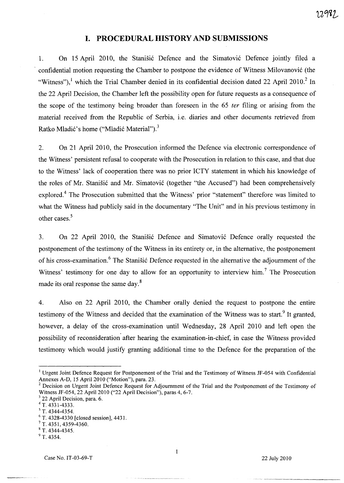# **I. PROCEDURAL HISTORY AND SUBMISSIONS**

1. On 15 April 2010, the Stanišić Defence and the Simatović Defence jointly filed a confidential motion requesting the Chamber to postpone the evidence of Witness Milovanović (the "Witness"),<sup>1</sup> which the Trial Chamber denied in its confidential decision dated 22 April 2010.<sup>2</sup> In the 22 April Decision, the Chamber left the possibility open for future requests as a consequence of the scope of the testimony being broader than foreseen in the 65 *ter* filing or arising from the material received from the Republic of Serbia, i.e. diaries and other documents retrieved from Ratko Mladić's home ("Mladić Material").<sup>3</sup>

2. On 21 April 2010, the Prosecution informed the Defence via electronic correspondence of the Witness' persistent refusal to cooperate with the Prosecution in relation to this case, and that due to the Witness' lack of cooperation there was no prior ICTY statement in which his knowledge of the roles of Mr. Stanišić and Mr. Simatović (together "the Accused") had been comprehensively explored.4 The Prosecution submitted that the Witness' prior "statement" therefore was limited to what the Witness had publicly said in the documentary "The Unit" and in his previous testimony in other cases. $5$ 

3. On 22 April 2010, the Stanisic Defence and Simatovic Defence orally requested the postponement of the testimony of the Witness in its entirety or, in the alternative, the postponement of his cross-examination.<sup>6</sup> The Stanišić Defence requested in the alternative the adjournment of the Witness' testimony for one day to allow for an opportunity to interview him.<sup>7</sup> The Prosecution made its oral response the same day. $8$ 

4. Also on 22 April 2010, the Chamber orally denied the request to postpone the entire testimony of the Witness and decided that the examination of the Witness was to start.<sup>9</sup> It granted, however, a delay of the cross-examination until Wednesday, 28 April 2010 and left open the possibility of reconsideration after hearing the examination-in-chief, in case the Witness provided testimony which would justify granting additional time to the Defence for the preparation of the

 $3$  22 April Decision, para. 6.

 $\mathbf{I}$ 

<sup>&</sup>lt;sup>1</sup> Urgent Joint Defence Request for Postponement of the Trial and the Testimony of Witness JF-054 with Confidential Annexes A-D, 15 April 2010 ("Motion"), para. 23.

 $2$  Decision on Urgent Joint Defence Request for Adjournment of the Trial and the Postponement of the Testimony of Witness JF-054, 22 April 2010 ("22 April Decision"), paras 4, 6-7.

<sup>4</sup> T. 4331-4333.

<sup>5</sup> T. 4344-4354.

<sup>6</sup> T. 4328-4330 [closed session], 4431.

<sup>7</sup> T. 4351, 4359-4360.

<sup>8</sup> T. 4344-4345.

 $9$  T. 4354.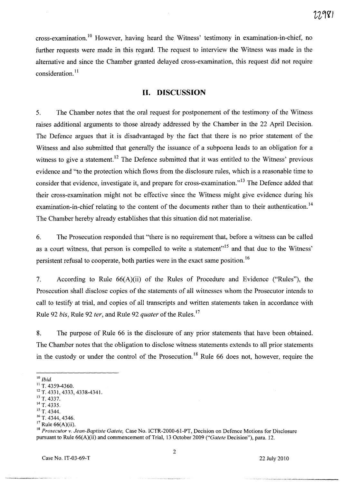cross-examination.<sup>10</sup> However, having heard the Witness' testimony in examination-in-chief, no further requests were made in this regard. The request to interview the Witness was made in the alternative and since the Chamber granted delayed cross-examination, this request did not require consideration. $11$ 

# **11. DISCUSSION**

5. The Chamber notes that the oral request for postponement of the testimony of the Witness raises additional arguments to those already addressed by the Chamber in the 22 April Decision. The Defence argues that it is disadvantaged by the fact that there is no prior statement of the Witness and also submitted that generally the issuance of a subpoena leads to an obligation for a witness to give a statement.<sup>12</sup> The Defence submitted that it was entitled to the Witness' previous evidence and "to the protection which flows from the disclosure rules, which is a reasonable time to consider that evidence, investigate it, and prepare for cross-examination.<sup>13</sup> The Defence added that their cross-examination might not be effective since the Witness might give evidence during his examination-in-chief relating to the content of the documents rather than to their authentication.<sup>14</sup> The Chamber hereby already establishes that this situation did not materialise.

6. The Prosecution responded that "there is no requirement that, before a witness can be called as a court witness, that person is compelled to write a statement"<sup>15</sup> and that due to the Witness' persistent refusal to cooperate, both parties were in the exact same position.<sup>16</sup>

7. According to Rule 66(A)(ii) of the Rules of Procedure and Evidence ("Rules"), the Prosecution shall disclose copies of the statements of all witnesses whom the Prosecutor intends to call to testify at trial, and copies of all transcripts and written statements taken in accordance with Rule 92 *bis,* Rule 92 *ter,* and Rule 92 *quater* of the Rules. <sup>I</sup> ?

8. The purpose of Rule 66 is the disclosure of any prior statements that have been obtained. The Chamber notes that the obligation to disclose witness statements extends to all prior statements in the custody or under the control of the Prosecution.<sup>18</sup> Rule 66 does not, however, require the

<sup>10</sup>*Ibid.* 

 $11$  T. 4359-4360.

<sup>&</sup>lt;sup>12</sup> T. 4331, 4333, 4338-4341.

 $^{13}$  T. 4337.

 $^{14}$  T. 4335.

<sup>&</sup>lt;sup>15</sup> T. 4344.

 $^{16}$  T, 4344, 4346.

 $17$  Rule 66(A)(ii).

<sup>18</sup>*Prosecutor* v. *Jean-Baptiste Gatete,* Case No. ICTR-2000-61-PT, Decision on Defence Motions for Disclosure pursuant to Rule 66(A)(ii) and commencement of Trial, 13 October 2009 *("Gatete* Decision"), para. 12.